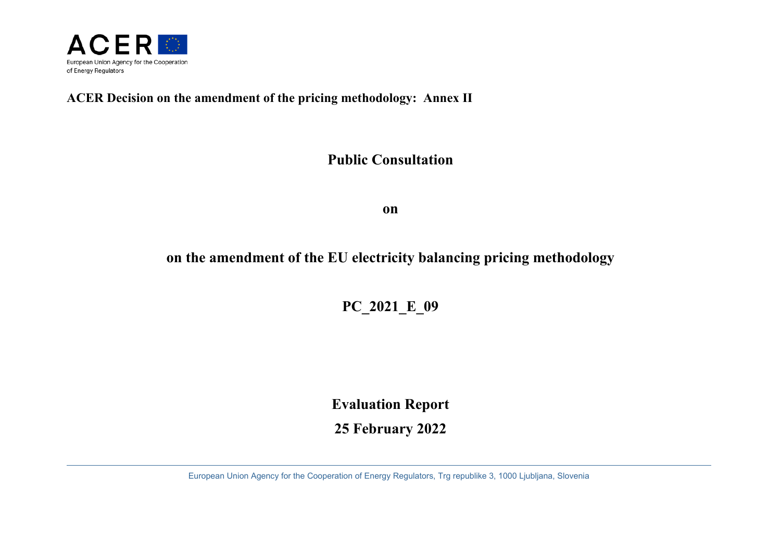

# **ACER Decision on the amendment of the pricing methodology: Annex II**

# **Public Consultation**

**on** 

# **on the amendment of the EU electricity balancing pricing methodology**

**PC\_2021\_E\_09** 

**Evaluation Report** 

**25 February 2022**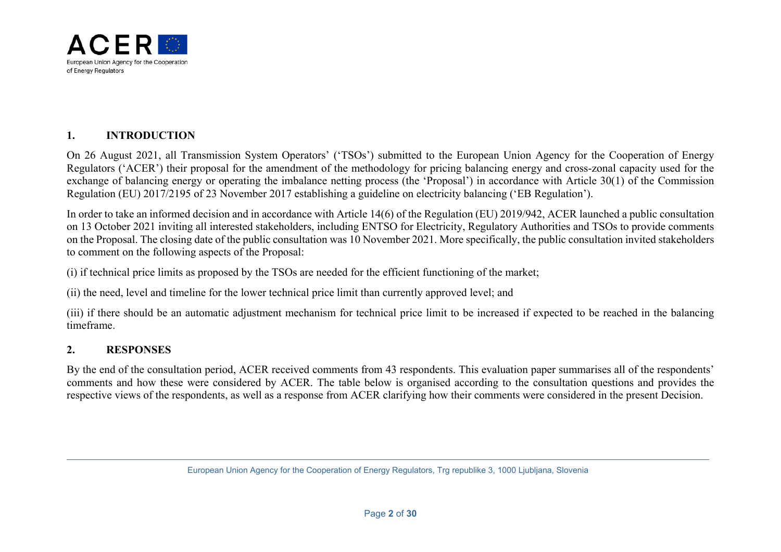

#### **1.INTRODUCTION**

On 26 August 2021, all Transmission System Operators' ('TSOs') submitted to the European Union Agency for the Cooperation of Energy Regulators ('ACER') their proposal for the amendment of the methodology for pricing balancing energy and cross-zonal capacity used for the exchange of balancing energy or operating the imbalance netting process (the 'Proposal') in accordance with Article 30(1) of the Commission Regulation (EU) 2017/2195 of 23 November 2017 establishing a guideline on electricity balancing ('EB Regulation').

In order to take an informed decision and in accordance with Article 14(6) of the Regulation (EU) 2019/942, ACER launched a public consultation on 13 October 2021 inviting all interested stakeholders, including ENTSO for Electricity, Regulatory Authorities and TSOs to provide comments on the Proposal. The closing date of the public consultation was 10 November 2021. More specifically, the public consultation invited stakeholders to comment on the following aspects of the Proposal:

(i) if technical price limits as proposed by the TSOs are needed for the efficient functioning of the market;

(ii) the need, level and timeline for the lower technical price limit than currently approved level; and

(iii) if there should be an automatic adjustment mechanism for technical price limit to be increased if expected to be reached in the balancing timeframe.

#### **2.RESPONSES**

By the end of the consultation period, ACER received comments from 43 respondents. This evaluation paper summarises all of the respondents' comments and how these were considered by ACER. The table below is organised according to the consultation questions and provides the respective views of the respondents, as well as a response from ACER clarifying how their comments were considered in the present Decision.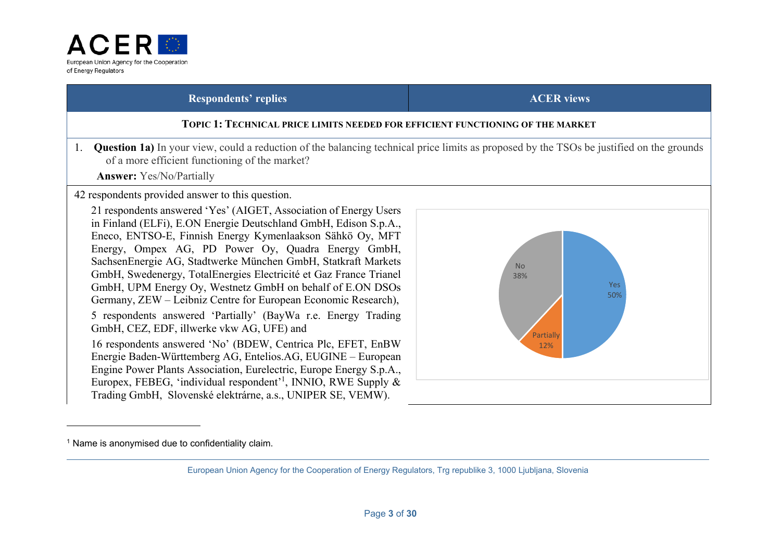

### **TOPIC 1: TECHNICAL PRICE LIMITS NEEDED FOR EFFICIENT FUNCTIONING OF THE MARKET**

1. **Question 1a)** In your view, could a reduction of the balancing technical price limits as proposed by the TSOs be justified on the grounds of a more efficient functioning of the market?

 **Answer:** Yes/No/Partially

42 respondents provided answer to this question.

21 respondents answered 'Yes' (AIGET, Association of Energy Users in Finland (ELFi), E.ON Energie Deutschland GmbH, Edison S.p.A., Eneco, ENTSO-E, Finnish Energy Kymenlaakson Sähkö Oy, MFT Energy, Ompex AG, PD Power Oy, Quadra Energy GmbH, SachsenEnergie AG, Stadtwerke München GmbH, Statkraft Markets GmbH, Swedenergy, TotalEnergies Electricité et Gaz France Trianel GmbH, UPM Energy Oy, Westnetz GmbH on behalf of E.ON DSOs Germany, ZEW – Leibniz Centre for European Economic Research), 5 respondents answered 'Partially' (BayWa r.e. Energy Trading GmbH, CEZ, EDF, illwerke vkw AG, UFE) and

16 respondents answered 'No' (BDEW, Centrica Plc, EFET, EnBW Energie Baden-Württemberg AG, Entelios.AG, EUGINE – European Engine Power Plants Association, Eurelectric, Europe Energy S.p.A., Europex, FEBEG, 'individual respondent'<sup>1</sup>, INNIO, RWE Supply  $\&$ Trading GmbH, Slovenské elektrárne, a.s., UNIPER SE, VEMW).



 $1$  Name is anonymised due to confidentiality claim.

European Union Agency for the Cooperation of Energy Regulators, Trg republike 3, 1000 Ljubljana, Slovenia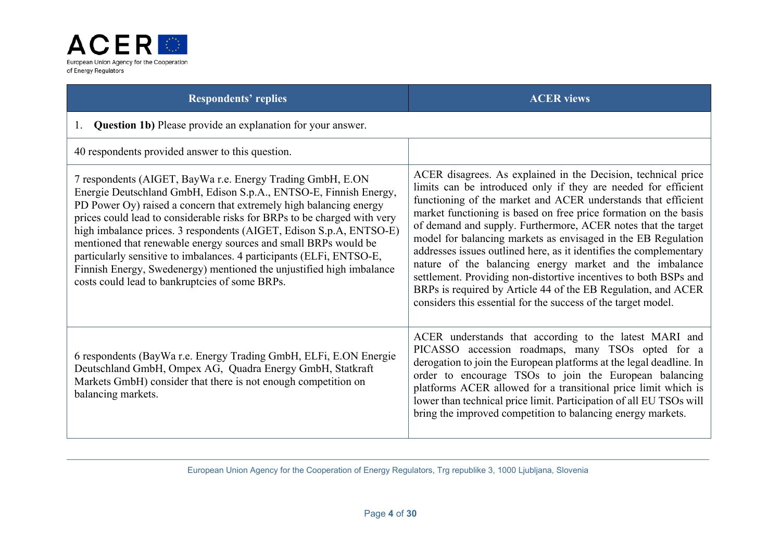

| <b>Respondents' replies</b>                                                                                                                                                                                                                                                                                                                                                                                                                                                                                                                                                                                                   | <b>ACER</b> views                                                                                                                                                                                                                                                                                                                                                                                                                                                                                                                                                                                                                                                                                                                             |
|-------------------------------------------------------------------------------------------------------------------------------------------------------------------------------------------------------------------------------------------------------------------------------------------------------------------------------------------------------------------------------------------------------------------------------------------------------------------------------------------------------------------------------------------------------------------------------------------------------------------------------|-----------------------------------------------------------------------------------------------------------------------------------------------------------------------------------------------------------------------------------------------------------------------------------------------------------------------------------------------------------------------------------------------------------------------------------------------------------------------------------------------------------------------------------------------------------------------------------------------------------------------------------------------------------------------------------------------------------------------------------------------|
| <b>Question 1b)</b> Please provide an explanation for your answer.<br>1.                                                                                                                                                                                                                                                                                                                                                                                                                                                                                                                                                      |                                                                                                                                                                                                                                                                                                                                                                                                                                                                                                                                                                                                                                                                                                                                               |
| 40 respondents provided answer to this question.                                                                                                                                                                                                                                                                                                                                                                                                                                                                                                                                                                              |                                                                                                                                                                                                                                                                                                                                                                                                                                                                                                                                                                                                                                                                                                                                               |
| 7 respondents (AIGET, BayWa r.e. Energy Trading GmbH, E.ON<br>Energie Deutschland GmbH, Edison S.p.A., ENTSO-E, Finnish Energy,<br>PD Power Oy) raised a concern that extremely high balancing energy<br>prices could lead to considerable risks for BRPs to be charged with very<br>high imbalance prices. 3 respondents (AIGET, Edison S.p.A, ENTSO-E)<br>mentioned that renewable energy sources and small BRPs would be<br>particularly sensitive to imbalances. 4 participants (ELFi, ENTSO-E,<br>Finnish Energy, Swedenergy) mentioned the unjustified high imbalance<br>costs could lead to bankruptcies of some BRPs. | ACER disagrees. As explained in the Decision, technical price<br>limits can be introduced only if they are needed for efficient<br>functioning of the market and ACER understands that efficient<br>market functioning is based on free price formation on the basis<br>of demand and supply. Furthermore, ACER notes that the target<br>model for balancing markets as envisaged in the EB Regulation<br>addresses issues outlined here, as it identifies the complementary<br>nature of the balancing energy market and the imbalance<br>settlement. Providing non-distortive incentives to both BSPs and<br>BRPs is required by Article 44 of the EB Regulation, and ACER<br>considers this essential for the success of the target model. |
| 6 respondents (BayWa r.e. Energy Trading GmbH, ELFi, E.ON Energie<br>Deutschland GmbH, Ompex AG, Quadra Energy GmbH, Statkraft<br>Markets GmbH) consider that there is not enough competition on<br>balancing markets.                                                                                                                                                                                                                                                                                                                                                                                                        | ACER understands that according to the latest MARI and<br>PICASSO accession roadmaps, many TSOs opted for a<br>derogation to join the European platforms at the legal deadline. In<br>order to encourage TSOs to join the European balancing<br>platforms ACER allowed for a transitional price limit which is<br>lower than technical price limit. Participation of all EU TSOs will<br>bring the improved competition to balancing energy markets.                                                                                                                                                                                                                                                                                          |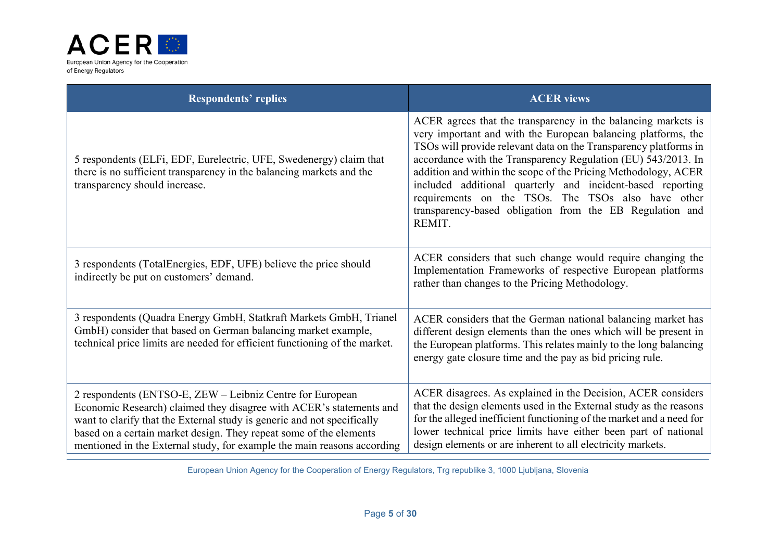

| <b>Respondents' replies</b>                                                                                                                                                                                                                                                                                                                                  | <b>ACER</b> views                                                                                                                                                                                                                                                                                                                                                                                                                                                                                                               |
|--------------------------------------------------------------------------------------------------------------------------------------------------------------------------------------------------------------------------------------------------------------------------------------------------------------------------------------------------------------|---------------------------------------------------------------------------------------------------------------------------------------------------------------------------------------------------------------------------------------------------------------------------------------------------------------------------------------------------------------------------------------------------------------------------------------------------------------------------------------------------------------------------------|
| 5 respondents (ELFi, EDF, Eurelectric, UFE, Swedenergy) claim that<br>there is no sufficient transparency in the balancing markets and the<br>transparency should increase.                                                                                                                                                                                  | ACER agrees that the transparency in the balancing markets is<br>very important and with the European balancing platforms, the<br>TSOs will provide relevant data on the Transparency platforms in<br>accordance with the Transparency Regulation (EU) 543/2013. In<br>addition and within the scope of the Pricing Methodology, ACER<br>included additional quarterly and incident-based reporting<br>requirements on the TSOs. The TSOs also have other<br>transparency-based obligation from the EB Regulation and<br>REMIT. |
| 3 respondents (TotalEnergies, EDF, UFE) believe the price should<br>indirectly be put on customers' demand.                                                                                                                                                                                                                                                  | ACER considers that such change would require changing the<br>Implementation Frameworks of respective European platforms<br>rather than changes to the Pricing Methodology.                                                                                                                                                                                                                                                                                                                                                     |
| 3 respondents (Quadra Energy GmbH, Statkraft Markets GmbH, Trianel<br>GmbH) consider that based on German balancing market example,<br>technical price limits are needed for efficient functioning of the market.                                                                                                                                            | ACER considers that the German national balancing market has<br>different design elements than the ones which will be present in<br>the European platforms. This relates mainly to the long balancing<br>energy gate closure time and the pay as bid pricing rule.                                                                                                                                                                                                                                                              |
| 2 respondents (ENTSO-E, ZEW – Leibniz Centre for European<br>Economic Research) claimed they disagree with ACER's statements and<br>want to clarify that the External study is generic and not specifically<br>based on a certain market design. They repeat some of the elements<br>mentioned in the External study, for example the main reasons according | ACER disagrees. As explained in the Decision, ACER considers<br>that the design elements used in the External study as the reasons<br>for the alleged inefficient functioning of the market and a need for<br>lower technical price limits have either been part of national<br>design elements or are inherent to all electricity markets.                                                                                                                                                                                     |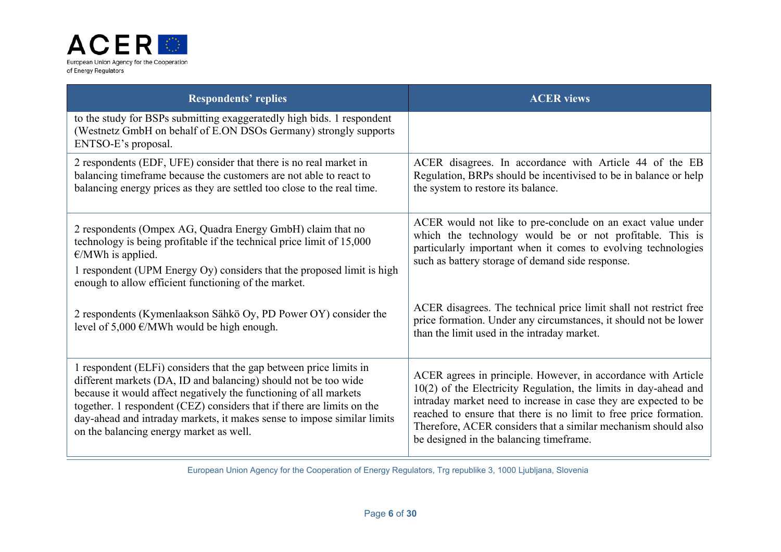

| <b>Respondents' replies</b>                                                                                                                                                                                                                                                                                                                                                                                | <b>ACER</b> views                                                                                                                                                                                                                                                                                                                                                                         |
|------------------------------------------------------------------------------------------------------------------------------------------------------------------------------------------------------------------------------------------------------------------------------------------------------------------------------------------------------------------------------------------------------------|-------------------------------------------------------------------------------------------------------------------------------------------------------------------------------------------------------------------------------------------------------------------------------------------------------------------------------------------------------------------------------------------|
| to the study for BSPs submitting exaggeratedly high bids. 1 respondent<br>(Westnetz GmbH on behalf of E.ON DSOs Germany) strongly supports<br>ENTSO-E's proposal.                                                                                                                                                                                                                                          |                                                                                                                                                                                                                                                                                                                                                                                           |
| 2 respondents (EDF, UFE) consider that there is no real market in<br>balancing timeframe because the customers are not able to react to<br>balancing energy prices as they are settled too close to the real time.                                                                                                                                                                                         | ACER disagrees. In accordance with Article 44 of the EB<br>Regulation, BRPs should be incentivised to be in balance or help<br>the system to restore its balance.                                                                                                                                                                                                                         |
| 2 respondents (Ompex AG, Quadra Energy GmbH) claim that no<br>technology is being profitable if the technical price limit of 15,000<br>$\epsilon$ /MWh is applied.<br>1 respondent (UPM Energy Oy) considers that the proposed limit is high<br>enough to allow efficient functioning of the market.                                                                                                       | ACER would not like to pre-conclude on an exact value under<br>which the technology would be or not profitable. This is<br>particularly important when it comes to evolving technologies<br>such as battery storage of demand side response.                                                                                                                                              |
| 2 respondents (Kymenlaakson Sähkö Oy, PD Power OY) consider the<br>level of 5,000 $\epsilon$ /MWh would be high enough.                                                                                                                                                                                                                                                                                    | ACER disagrees. The technical price limit shall not restrict free<br>price formation. Under any circumstances, it should not be lower<br>than the limit used in the intraday market.                                                                                                                                                                                                      |
| 1 respondent (ELFi) considers that the gap between price limits in<br>different markets (DA, ID and balancing) should not be too wide<br>because it would affect negatively the functioning of all markets<br>together. 1 respondent (CEZ) considers that if there are limits on the<br>day-ahead and intraday markets, it makes sense to impose similar limits<br>on the balancing energy market as well. | ACER agrees in principle. However, in accordance with Article<br>$10(2)$ of the Electricity Regulation, the limits in day-ahead and<br>intraday market need to increase in case they are expected to be<br>reached to ensure that there is no limit to free price formation.<br>Therefore, ACER considers that a similar mechanism should also<br>be designed in the balancing timeframe. |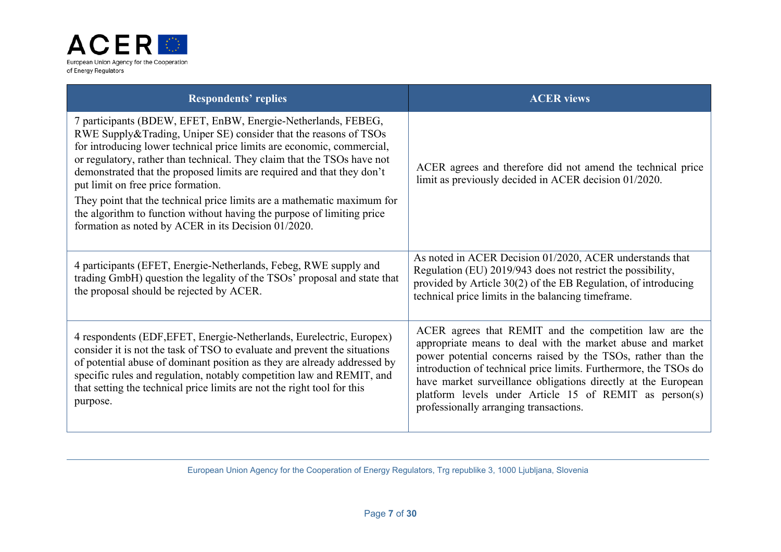

| <b>Respondents' replies</b>                                                                                                                                                                                                                                                                                                                                                                                                                                                                                                                                                                                        | <b>ACER</b> views                                                                                                                                                                                                                                                                                                                                                                                                             |
|--------------------------------------------------------------------------------------------------------------------------------------------------------------------------------------------------------------------------------------------------------------------------------------------------------------------------------------------------------------------------------------------------------------------------------------------------------------------------------------------------------------------------------------------------------------------------------------------------------------------|-------------------------------------------------------------------------------------------------------------------------------------------------------------------------------------------------------------------------------------------------------------------------------------------------------------------------------------------------------------------------------------------------------------------------------|
| 7 participants (BDEW, EFET, EnBW, Energie-Netherlands, FEBEG,<br>RWE Supply&Trading, Uniper SE) consider that the reasons of TSOs<br>for introducing lower technical price limits are economic, commercial,<br>or regulatory, rather than technical. They claim that the TSOs have not<br>demonstrated that the proposed limits are required and that they don't<br>put limit on free price formation.<br>They point that the technical price limits are a mathematic maximum for<br>the algorithm to function without having the purpose of limiting price<br>formation as noted by ACER in its Decision 01/2020. | ACER agrees and therefore did not amend the technical price<br>limit as previously decided in ACER decision 01/2020.                                                                                                                                                                                                                                                                                                          |
| 4 participants (EFET, Energie-Netherlands, Febeg, RWE supply and<br>trading GmbH) question the legality of the TSOs' proposal and state that<br>the proposal should be rejected by ACER.                                                                                                                                                                                                                                                                                                                                                                                                                           | As noted in ACER Decision 01/2020, ACER understands that<br>Regulation (EU) 2019/943 does not restrict the possibility,<br>provided by Article 30(2) of the EB Regulation, of introducing<br>technical price limits in the balancing timeframe.                                                                                                                                                                               |
| 4 respondents (EDF, EFET, Energie-Netherlands, Eurelectric, Europex)<br>consider it is not the task of TSO to evaluate and prevent the situations<br>of potential abuse of dominant position as they are already addressed by<br>specific rules and regulation, notably competition law and REMIT, and<br>that setting the technical price limits are not the right tool for this<br>purpose.                                                                                                                                                                                                                      | ACER agrees that REMIT and the competition law are the<br>appropriate means to deal with the market abuse and market<br>power potential concerns raised by the TSOs, rather than the<br>introduction of technical price limits. Furthermore, the TSOs do<br>have market surveillance obligations directly at the European<br>platform levels under Article 15 of REMIT as person(s)<br>professionally arranging transactions. |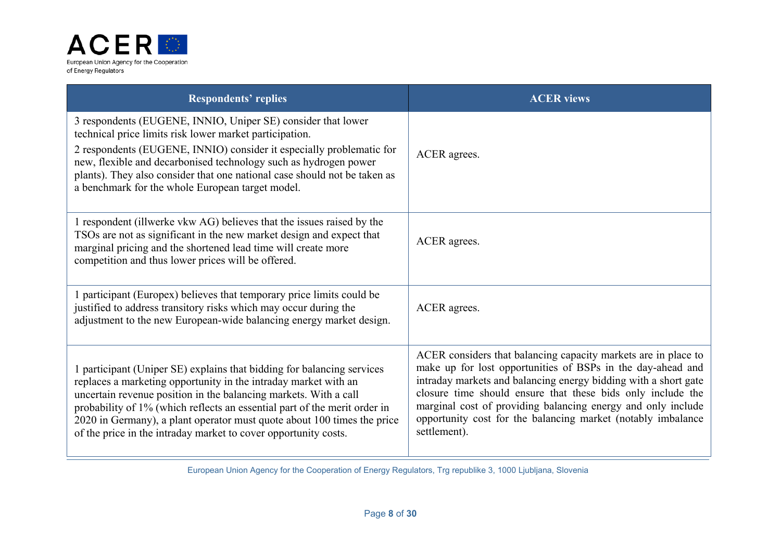

| <b>Respondents' replies</b>                                                                                                                                                                                                                                                                                                                                                                                                              | <b>ACER</b> views                                                                                                                                                                                                                                                                                                                                                                                               |
|------------------------------------------------------------------------------------------------------------------------------------------------------------------------------------------------------------------------------------------------------------------------------------------------------------------------------------------------------------------------------------------------------------------------------------------|-----------------------------------------------------------------------------------------------------------------------------------------------------------------------------------------------------------------------------------------------------------------------------------------------------------------------------------------------------------------------------------------------------------------|
| 3 respondents (EUGENE, INNIO, Uniper SE) consider that lower<br>technical price limits risk lower market participation.<br>2 respondents (EUGENE, INNIO) consider it especially problematic for<br>new, flexible and decarbonised technology such as hydrogen power<br>plants). They also consider that one national case should not be taken as<br>a benchmark for the whole European target model.                                     | ACER agrees.                                                                                                                                                                                                                                                                                                                                                                                                    |
| 1 respondent (illwerke vkw AG) believes that the issues raised by the<br>TSOs are not as significant in the new market design and expect that<br>marginal pricing and the shortened lead time will create more<br>competition and thus lower prices will be offered.                                                                                                                                                                     | ACER agrees.                                                                                                                                                                                                                                                                                                                                                                                                    |
| 1 participant (Europex) believes that temporary price limits could be<br>justified to address transitory risks which may occur during the<br>adjustment to the new European-wide balancing energy market design.                                                                                                                                                                                                                         | ACER agrees.                                                                                                                                                                                                                                                                                                                                                                                                    |
| 1 participant (Uniper SE) explains that bidding for balancing services<br>replaces a marketing opportunity in the intraday market with an<br>uncertain revenue position in the balancing markets. With a call<br>probability of 1% (which reflects an essential part of the merit order in<br>2020 in Germany), a plant operator must quote about 100 times the price<br>of the price in the intraday market to cover opportunity costs. | ACER considers that balancing capacity markets are in place to<br>make up for lost opportunities of BSPs in the day-ahead and<br>intraday markets and balancing energy bidding with a short gate<br>closure time should ensure that these bids only include the<br>marginal cost of providing balancing energy and only include<br>opportunity cost for the balancing market (notably imbalance<br>settlement). |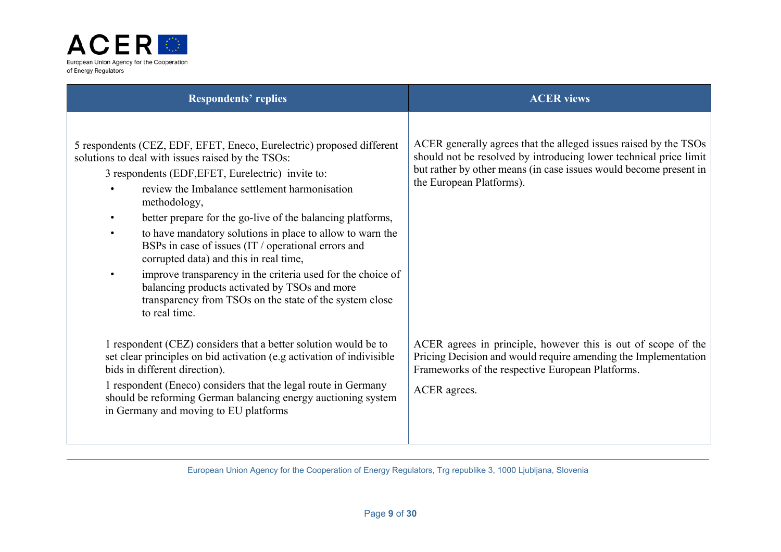

| <b>ACER</b> views                                                                                                                                                                                          |
|------------------------------------------------------------------------------------------------------------------------------------------------------------------------------------------------------------|
|                                                                                                                                                                                                            |
| ACER generally agrees that the alleged issues raised by the TSOs<br>should not be resolved by introducing lower technical price limit<br>but rather by other means (in case issues would become present in |
| the European Platforms).                                                                                                                                                                                   |
|                                                                                                                                                                                                            |
|                                                                                                                                                                                                            |
|                                                                                                                                                                                                            |
| ACER agrees in principle, however this is out of scope of the<br>Pricing Decision and would require amending the Implementation<br>Frameworks of the respective European Platforms.                        |
| ACER agrees.                                                                                                                                                                                               |
|                                                                                                                                                                                                            |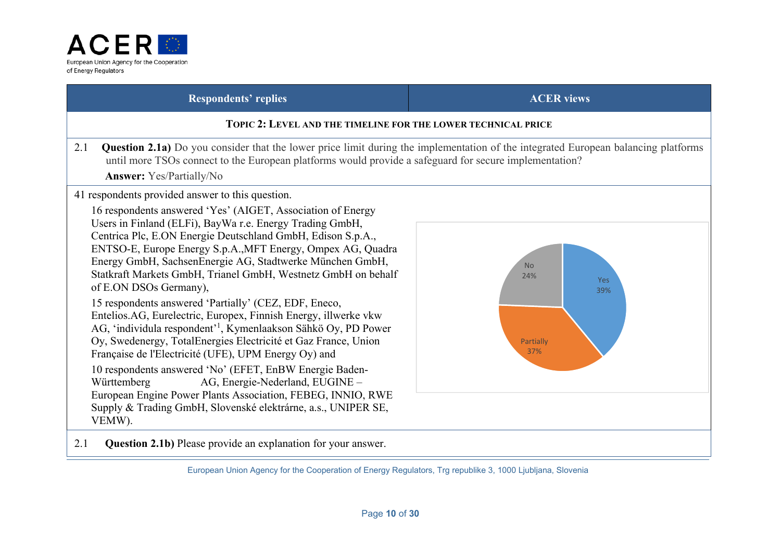

#### **TOPIC 2: LEVEL AND THE TIMELINE FOR THE LOWER TECHNICAL PRICE**

2.1 **Question 2.1a)** Do you consider that the lower price limit during the implementation of the integrated European balancing platforms until more TSOs connect to the European platforms would provide a safeguard for secure implementation?

 **Answer:** Yes/Partially/No

41 respondents provided answer to this question.

16 respondents answered 'Yes' (AIGET, Association of Energy Users in Finland (ELFi), BayWa r.e. Energy Trading GmbH, Centrica Plc, E.ON Energie Deutschland GmbH, Edison S.p.A., ENTSO-E, Europe Energy S.p.A.,MFT Energy, Ompex AG, Quadra Energy GmbH, SachsenEnergie AG, Stadtwerke München GmbH, Statkraft Markets GmbH, Trianel GmbH, Westnetz GmbH on behalf of E.ON DSOs Germany),

15 respondents answered 'Partially' (CEZ, EDF, Eneco, Entelios.AG, Eurelectric, Europex, Finnish Energy, illwerke vkw AG, 'individula respondent'1, Kymenlaakson Sähkö Oy, PD Power Oy, Swedenergy, TotalEnergies Electricité et Gaz France, Union Française de l'Electricité (UFE), UPM Energy Oy) and 10 respondents answered 'No' (EFET, EnBW Energie Baden-Württemberg AG, Energie-Nederland, EUGINE – European Engine Power Plants Association, FEBEG, INNIO, RWE Supply & Trading GmbH, Slovenské elektrárne, a.s., UNIPER SE, VEMW).



2.1 **Question 2.1b)** Please provide an explanation for your answer.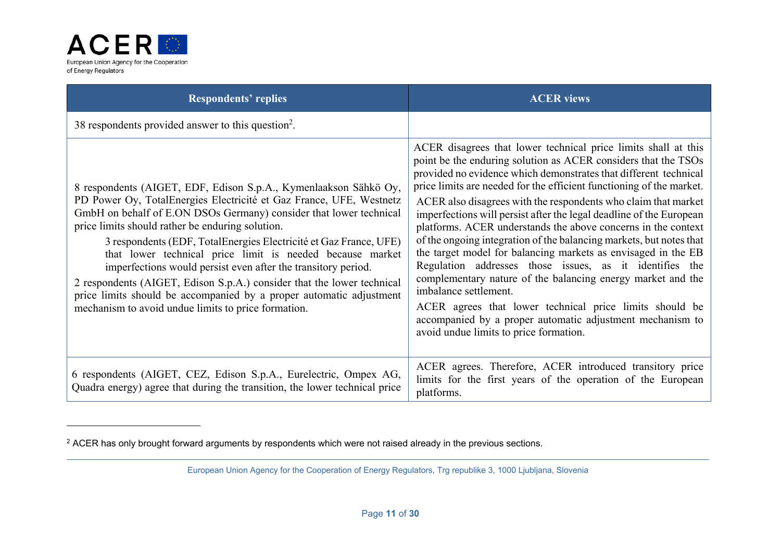

| <b>Respondents' replies</b>                                                                                                                                                                                                                                                                                                                                                                                                                                                                                                                                                                                                                                                  | <b>ACER</b> views                                                                                                                                                                                                                                                                                                                                                                                                                                                                                                                                                                                                                                                                                                                                                                                                                                                                                                                                   |
|------------------------------------------------------------------------------------------------------------------------------------------------------------------------------------------------------------------------------------------------------------------------------------------------------------------------------------------------------------------------------------------------------------------------------------------------------------------------------------------------------------------------------------------------------------------------------------------------------------------------------------------------------------------------------|-----------------------------------------------------------------------------------------------------------------------------------------------------------------------------------------------------------------------------------------------------------------------------------------------------------------------------------------------------------------------------------------------------------------------------------------------------------------------------------------------------------------------------------------------------------------------------------------------------------------------------------------------------------------------------------------------------------------------------------------------------------------------------------------------------------------------------------------------------------------------------------------------------------------------------------------------------|
| 38 respondents provided answer to this question <sup>2</sup> .                                                                                                                                                                                                                                                                                                                                                                                                                                                                                                                                                                                                               |                                                                                                                                                                                                                                                                                                                                                                                                                                                                                                                                                                                                                                                                                                                                                                                                                                                                                                                                                     |
| 8 respondents (AIGET, EDF, Edison S.p.A., Kymenlaakson Sähkö Oy,<br>PD Power Oy, TotalEnergies Electricité et Gaz France, UFE, Westnetz<br>GmbH on behalf of E.ON DSOs Germany) consider that lower technical<br>price limits should rather be enduring solution.<br>3 respondents (EDF, TotalEnergies Electricité et Gaz France, UFE)<br>that lower technical price limit is needed because market<br>imperfections would persist even after the transitory period.<br>2 respondents (AIGET, Edison S.p.A.) consider that the lower technical<br>price limits should be accompanied by a proper automatic adjustment<br>mechanism to avoid undue limits to price formation. | ACER disagrees that lower technical price limits shall at this<br>point be the enduring solution as ACER considers that the TSOs<br>provided no evidence which demonstrates that different technical<br>price limits are needed for the efficient functioning of the market.<br>ACER also disagrees with the respondents who claim that market<br>imperfections will persist after the legal deadline of the European<br>platforms. ACER understands the above concerns in the context<br>of the ongoing integration of the balancing markets, but notes that<br>the target model for balancing markets as envisaged in the EB<br>Regulation addresses those issues, as it identifies the<br>complementary nature of the balancing energy market and the<br>imbalance settlement.<br>ACER agrees that lower technical price limits should be<br>accompanied by a proper automatic adjustment mechanism to<br>avoid undue limits to price formation. |
| 6 respondents (AIGET, CEZ, Edison S.p.A., Eurelectric, Ompex AG,<br>Quadra energy) agree that during the transition, the lower technical price                                                                                                                                                                                                                                                                                                                                                                                                                                                                                                                               | ACER agrees. Therefore, ACER introduced transitory price<br>limits for the first years of the operation of the European<br>platforms.                                                                                                                                                                                                                                                                                                                                                                                                                                                                                                                                                                                                                                                                                                                                                                                                               |

<sup>&</sup>lt;sup>2</sup> ACER has only brought forward arguments by respondents which were not raised already in the previous sections.

European Union Agency for the Cooperation of Energy Regulators, Trg republike 3, 1000 Ljubljana, Slovenia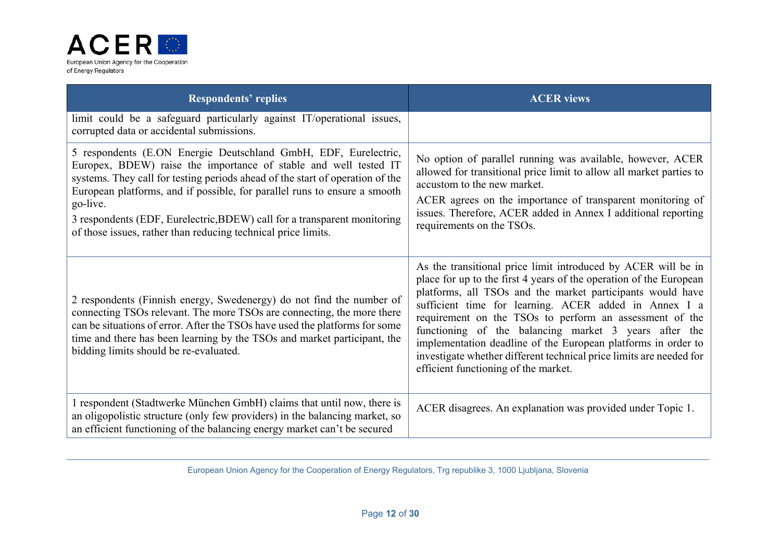

| <b>Respondents' replies</b>                                                                                                                                                                                                                                                                                                                                                                                                                                | <b>ACER</b> views                                                                                                                                                                                                                                                                                                                                                                                                                                                                                                                                              |
|------------------------------------------------------------------------------------------------------------------------------------------------------------------------------------------------------------------------------------------------------------------------------------------------------------------------------------------------------------------------------------------------------------------------------------------------------------|----------------------------------------------------------------------------------------------------------------------------------------------------------------------------------------------------------------------------------------------------------------------------------------------------------------------------------------------------------------------------------------------------------------------------------------------------------------------------------------------------------------------------------------------------------------|
| limit could be a safeguard particularly against IT/operational issues,<br>corrupted data or accidental submissions.                                                                                                                                                                                                                                                                                                                                        |                                                                                                                                                                                                                                                                                                                                                                                                                                                                                                                                                                |
| 5 respondents (E.ON Energie Deutschland GmbH, EDF, Eurelectric,<br>Europex, BDEW) raise the importance of stable and well tested IT<br>systems. They call for testing periods ahead of the start of operation of the<br>European platforms, and if possible, for parallel runs to ensure a smooth<br>go-live.<br>3 respondents (EDF, Eurelectric, BDEW) call for a transparent monitoring<br>of those issues, rather than reducing technical price limits. | No option of parallel running was available, however, ACER<br>allowed for transitional price limit to allow all market parties to<br>accustom to the new market.<br>ACER agrees on the importance of transparent monitoring of<br>issues. Therefore, ACER added in Annex I additional reporting<br>requirements on the TSOs.                                                                                                                                                                                                                                   |
| 2 respondents (Finnish energy, Swedenergy) do not find the number of<br>connecting TSOs relevant. The more TSOs are connecting, the more there<br>can be situations of error. After the TSOs have used the platforms for some<br>time and there has been learning by the TSOs and market participant, the<br>bidding limits should be re-evaluated.                                                                                                        | As the transitional price limit introduced by ACER will be in<br>place for up to the first 4 years of the operation of the European<br>platforms, all TSOs and the market participants would have<br>sufficient time for learning. ACER added in Annex I a<br>requirement on the TSOs to perform an assessment of the<br>functioning of the balancing market 3 years after the<br>implementation deadline of the European platforms in order to<br>investigate whether different technical price limits are needed for<br>efficient functioning of the market. |
| 1 respondent (Stadtwerke München GmbH) claims that until now, there is<br>an oligopolistic structure (only few providers) in the balancing market, so<br>an efficient functioning of the balancing energy market can't be secured                                                                                                                                                                                                                          | ACER disagrees. An explanation was provided under Topic 1.                                                                                                                                                                                                                                                                                                                                                                                                                                                                                                     |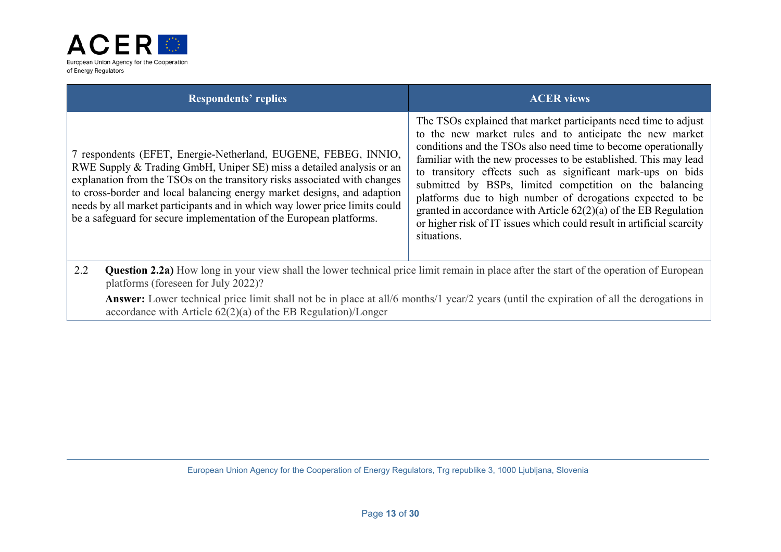

| <b>Respondents' replies</b>                                                                                                                                                                                                                                                                                                                                                                                                                         | <b>ACER</b> views                                                                                                                                                                                                                                                                                                                                                                                                                                                                                                                                                                                                      |
|-----------------------------------------------------------------------------------------------------------------------------------------------------------------------------------------------------------------------------------------------------------------------------------------------------------------------------------------------------------------------------------------------------------------------------------------------------|------------------------------------------------------------------------------------------------------------------------------------------------------------------------------------------------------------------------------------------------------------------------------------------------------------------------------------------------------------------------------------------------------------------------------------------------------------------------------------------------------------------------------------------------------------------------------------------------------------------------|
| 7 respondents (EFET, Energie-Netherland, EUGENE, FEBEG, INNIO,<br>RWE Supply & Trading GmbH, Uniper SE) miss a detailed analysis or an<br>explanation from the TSOs on the transitory risks associated with changes<br>to cross-border and local balancing energy market designs, and adaption<br>needs by all market participants and in which way lower price limits could<br>be a safeguard for secure implementation of the European platforms. | The TSOs explained that market participants need time to adjust<br>to the new market rules and to anticipate the new market<br>conditions and the TSOs also need time to become operationally<br>familiar with the new processes to be established. This may lead<br>to transitory effects such as significant mark-ups on bids<br>submitted by BSPs, limited competition on the balancing<br>platforms due to high number of derogations expected to be<br>granted in accordance with Article $62(2)(a)$ of the EB Regulation<br>or higher risk of IT issues which could result in artificial scarcity<br>situations. |
| 2.2<br><b>Question 2.2a</b> ) How long in your view shall the lower technical price limit remain in place after the start of the operation of European<br>platforms (foreseen for July 2022)?                                                                                                                                                                                                                                                       |                                                                                                                                                                                                                                                                                                                                                                                                                                                                                                                                                                                                                        |
| Associated to compress the contract that the finite begin to be a stall for each of the second finite section of all the democration of all the democration of a                                                                                                                                                                                                                                                                                    |                                                                                                                                                                                                                                                                                                                                                                                                                                                                                                                                                                                                                        |

**Answer:** Lower technical price limit shall not be in place at all/6 months/1 year/2 years (until the expiration of all the derogations in accordance with Article 62(2)(a) of the EB Regulation)/Longer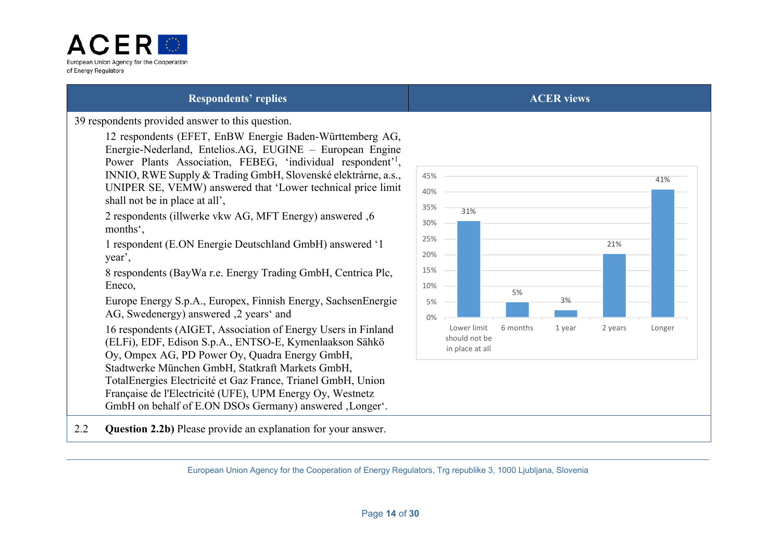

39 respondents provided answer to this question.

12 respondents (EFET, EnBW Energie Baden-Württemberg AG, Energie-Nederland, Entelios.AG, EUGINE – European Engine Power Plants Association, FEBEG, 'individual respondent'<sup>1</sup>, INNIO, RWE Supply & Trading GmbH, Slovenské elektrárne, a.s., UNIPER SE, VEMW) answered that 'Lower technical price limit shall not be in place at all',

2 respondents (illwerke vkw AG, MFT Energy) answered  $.6$ months',

1 respondent (E.ON Energie Deutschland GmbH) answered '1 year',

8 respondents (BayWa r.e. Energy Trading GmbH, Centrica Plc, Eneco,

Europe Energy S.p.A., Europex, Finnish Energy, SachsenEnergie AG, Swedenergy) answered  $,2$  years' and

16 respondents (AIGET, Association of Energy Users in Finland (ELFi), EDF, Edison S.p.A., ENTSO-E, Kymenlaakson Sähkö Oy, Ompex AG, PD Power Oy, Quadra Energy GmbH, Stadtwerke München GmbH, Statkraft Markets GmbH, TotalEnergies Electricité et Gaz France, Trianel GmbH, Union Française de l'Electricité (UFE), UPM Energy Oy, Westnetz GmbH on behalf of E.ON DSOs Germany) answered , Longer'.

2.2 **Question 2.2b)** Please provide an explanation for your answer.

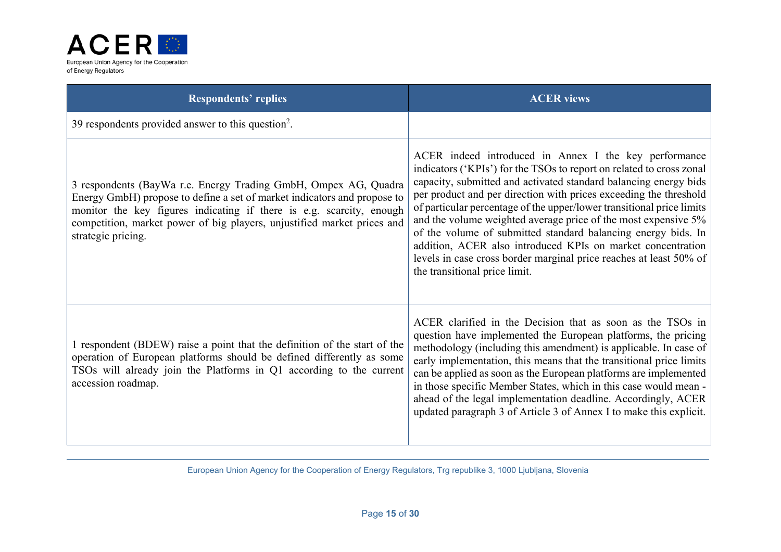

| <b>Respondents' replies</b>                                                                                                                                                                                                                                                                                          | <b>ACER</b> views                                                                                                                                                                                                                                                                                                                                                                                                                                                                                                                                                                                                                                        |
|----------------------------------------------------------------------------------------------------------------------------------------------------------------------------------------------------------------------------------------------------------------------------------------------------------------------|----------------------------------------------------------------------------------------------------------------------------------------------------------------------------------------------------------------------------------------------------------------------------------------------------------------------------------------------------------------------------------------------------------------------------------------------------------------------------------------------------------------------------------------------------------------------------------------------------------------------------------------------------------|
| 39 respondents provided answer to this question <sup>2</sup> .                                                                                                                                                                                                                                                       |                                                                                                                                                                                                                                                                                                                                                                                                                                                                                                                                                                                                                                                          |
| 3 respondents (BayWa r.e. Energy Trading GmbH, Ompex AG, Quadra<br>Energy GmbH) propose to define a set of market indicators and propose to<br>monitor the key figures indicating if there is e.g. scarcity, enough<br>competition, market power of big players, unjustified market prices and<br>strategic pricing. | ACER indeed introduced in Annex I the key performance<br>indicators ('KPIs') for the TSOs to report on related to cross zonal<br>capacity, submitted and activated standard balancing energy bids<br>per product and per direction with prices exceeding the threshold<br>of particular percentage of the upper/lower transitional price limits<br>and the volume weighted average price of the most expensive 5%<br>of the volume of submitted standard balancing energy bids. In<br>addition, ACER also introduced KPIs on market concentration<br>levels in case cross border marginal price reaches at least 50% of<br>the transitional price limit. |
| 1 respondent (BDEW) raise a point that the definition of the start of the<br>operation of European platforms should be defined differently as some<br>TSOs will already join the Platforms in Q1 according to the current<br>accession roadmap.                                                                      | ACER clarified in the Decision that as soon as the TSOs in<br>question have implemented the European platforms, the pricing<br>methodology (including this amendment) is applicable. In case of<br>early implementation, this means that the transitional price limits<br>can be applied as soon as the European platforms are implemented<br>in those specific Member States, which in this case would mean -<br>ahead of the legal implementation deadline. Accordingly, ACER<br>updated paragraph 3 of Article 3 of Annex I to make this explicit.                                                                                                    |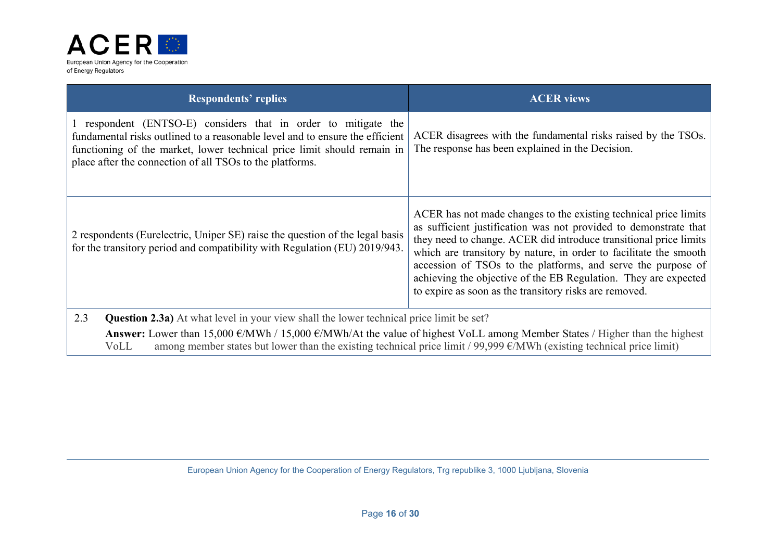

| <b>Respondents' replies</b>                                                                                                                                                                                                                                                                                                                                                                       | <b>ACER</b> views                                                                                                                                                                                                                                                                                                                                                                                                                                                           |
|---------------------------------------------------------------------------------------------------------------------------------------------------------------------------------------------------------------------------------------------------------------------------------------------------------------------------------------------------------------------------------------------------|-----------------------------------------------------------------------------------------------------------------------------------------------------------------------------------------------------------------------------------------------------------------------------------------------------------------------------------------------------------------------------------------------------------------------------------------------------------------------------|
| 1 respondent (ENTSO-E) considers that in order to mitigate the<br>fundamental risks outlined to a reasonable level and to ensure the efficient<br>functioning of the market, lower technical price limit should remain in<br>place after the connection of all TSOs to the platforms.                                                                                                             | ACER disagrees with the fundamental risks raised by the TSOs.<br>The response has been explained in the Decision.                                                                                                                                                                                                                                                                                                                                                           |
| 2 respondents (Eurelectric, Uniper SE) raise the question of the legal basis<br>for the transitory period and compatibility with Regulation (EU) 2019/943.                                                                                                                                                                                                                                        | ACER has not made changes to the existing technical price limits<br>as sufficient justification was not provided to demonstrate that<br>they need to change. ACER did introduce transitional price limits<br>which are transitory by nature, in order to facilitate the smooth<br>accession of TSOs to the platforms, and serve the purpose of<br>achieving the objective of the EB Regulation. They are expected<br>to expire as soon as the transitory risks are removed. |
| 2.3<br><b>Question 2.3a)</b> At what level in your view shall the lower technical price limit be set?<br>Answer: Lower than 15,000 $\epsilon$ /MWh / 15,000 $\epsilon$ /MWh/At the value of highest VoLL among Member States / Higher than the highest<br>among member states but lower than the existing technical price limit / 99,999 $\epsilon$ /MWh (existing technical price limit)<br>VoLL |                                                                                                                                                                                                                                                                                                                                                                                                                                                                             |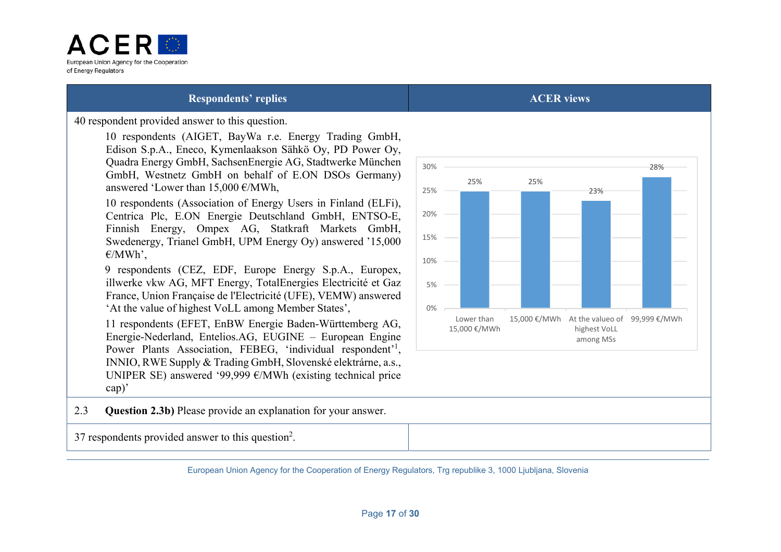

40 respondent provided answer to this question.

 10 respondents (AIGET, BayWa r.e. Energy Trading GmbH, Edison S.p.A., Eneco, Kymenlaakson Sähkö Oy, PD Power Oy, Quadra Energy GmbH, SachsenEnergie AG, Stadtwerke München GmbH, Westnetz GmbH on behalf of E.ON DSOs Germany) answered 'Lower than  $15,000 \in \text{/MWh}$ .

 10 respondents (Association of Energy Users in Finland (ELFi), Centrica Plc, E.ON Energie Deutschland GmbH, ENTSO-E, Finnish Energy, Ompex AG, Statkraft Markets GmbH, Swedenergy, Trianel GmbH, UPM Energy Oy) answered '15,000  $E/MWh'$ .

 9 respondents (CEZ, EDF, Europe Energy S.p.A., Europex, illwerke vkw AG, MFT Energy, TotalEnergies Electricité et Gaz France, Union Française de l'Electricité (UFE), VEMW) answered 'At the value of highest VoLL among Member States',

 11 respondents (EFET, EnBW Energie Baden-Württemberg AG, Energie-Nederland, Entelios.AG, EUGINE – European Engine Power Plants Association, FEBEG, 'individual respondent'<sup>1</sup>, INNIO, RWE Supply & Trading GmbH, Slovenské elektrárne, a.s., UNIPER SE) answered '99,999 €/MWh (existing technical price cap)'



2.3 **Question 2.3b)** Please provide an explanation for your answer.

37 respondents provided answer to this question2.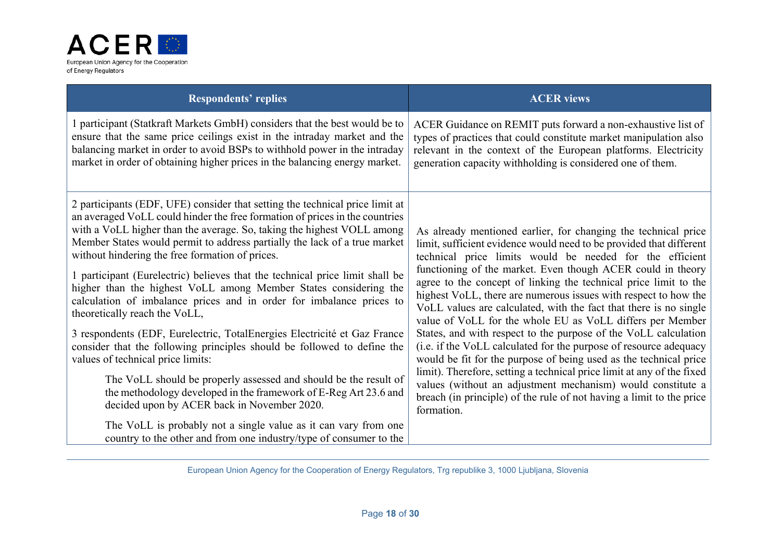

| <b>Respondents' replies</b>                                                                                                                                                                                                                                                                                                                                                                                                                                                                                                                                                                                                                                                                                                                                                                                                                                                                                                                                                                                                                                                              | <b>ACER</b> views                                                                                                                                                                                                                                                                                                                                                                                                                                                                                                                                                                                                                                                                                                                                                                                                                                                                                                                                                                     |
|------------------------------------------------------------------------------------------------------------------------------------------------------------------------------------------------------------------------------------------------------------------------------------------------------------------------------------------------------------------------------------------------------------------------------------------------------------------------------------------------------------------------------------------------------------------------------------------------------------------------------------------------------------------------------------------------------------------------------------------------------------------------------------------------------------------------------------------------------------------------------------------------------------------------------------------------------------------------------------------------------------------------------------------------------------------------------------------|---------------------------------------------------------------------------------------------------------------------------------------------------------------------------------------------------------------------------------------------------------------------------------------------------------------------------------------------------------------------------------------------------------------------------------------------------------------------------------------------------------------------------------------------------------------------------------------------------------------------------------------------------------------------------------------------------------------------------------------------------------------------------------------------------------------------------------------------------------------------------------------------------------------------------------------------------------------------------------------|
| 1 participant (Statkraft Markets GmbH) considers that the best would be to<br>ensure that the same price ceilings exist in the intraday market and the<br>balancing market in order to avoid BSPs to withhold power in the intraday<br>market in order of obtaining higher prices in the balancing energy market.                                                                                                                                                                                                                                                                                                                                                                                                                                                                                                                                                                                                                                                                                                                                                                        | ACER Guidance on REMIT puts forward a non-exhaustive list of<br>types of practices that could constitute market manipulation also<br>relevant in the context of the European platforms. Electricity<br>generation capacity withholding is considered one of them.                                                                                                                                                                                                                                                                                                                                                                                                                                                                                                                                                                                                                                                                                                                     |
| 2 participants (EDF, UFE) consider that setting the technical price limit at<br>an averaged VoLL could hinder the free formation of prices in the countries<br>with a VoLL higher than the average. So, taking the highest VOLL among<br>Member States would permit to address partially the lack of a true market<br>without hindering the free formation of prices.<br>1 participant (Eurelectric) believes that the technical price limit shall be<br>higher than the highest VoLL among Member States considering the<br>calculation of imbalance prices and in order for imbalance prices to<br>theoretically reach the VoLL,<br>3 respondents (EDF, Eurelectric, TotalEnergies Electricité et Gaz France<br>consider that the following principles should be followed to define the<br>values of technical price limits:<br>The VoLL should be properly assessed and should be the result of<br>the methodology developed in the framework of E-Reg Art 23.6 and<br>decided upon by ACER back in November 2020.<br>The VoLL is probably not a single value as it can vary from one | As already mentioned earlier, for changing the technical price<br>limit, sufficient evidence would need to be provided that different<br>technical price limits would be needed for the efficient<br>functioning of the market. Even though ACER could in theory<br>agree to the concept of linking the technical price limit to the<br>highest VoLL, there are numerous issues with respect to how the<br>VoLL values are calculated, with the fact that there is no single<br>value of VoLL for the whole EU as VoLL differs per Member<br>States, and with respect to the purpose of the VoLL calculation<br>(i.e. if the VoLL calculated for the purpose of resource adequacy<br>would be fit for the purpose of being used as the technical price<br>limit). Therefore, setting a technical price limit at any of the fixed<br>values (without an adjustment mechanism) would constitute a<br>breach (in principle) of the rule of not having a limit to the price<br>formation. |
| country to the other and from one industry/type of consumer to the                                                                                                                                                                                                                                                                                                                                                                                                                                                                                                                                                                                                                                                                                                                                                                                                                                                                                                                                                                                                                       |                                                                                                                                                                                                                                                                                                                                                                                                                                                                                                                                                                                                                                                                                                                                                                                                                                                                                                                                                                                       |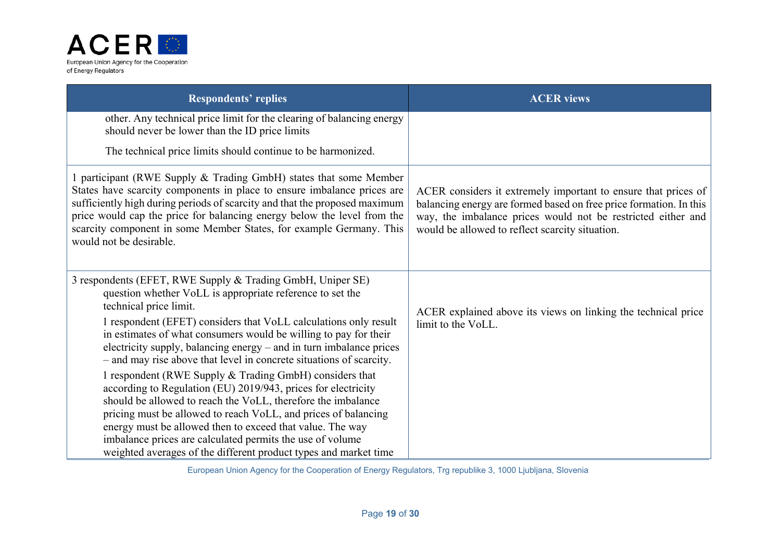

| <b>Respondents' replies</b>                                                                                                                                                                                                                                                                                                                                                                                                                                                                                                                                                                                                                                                                                                                                                                                                                                                                         | <b>ACER</b> views                                                                                                                                                                                                                                       |
|-----------------------------------------------------------------------------------------------------------------------------------------------------------------------------------------------------------------------------------------------------------------------------------------------------------------------------------------------------------------------------------------------------------------------------------------------------------------------------------------------------------------------------------------------------------------------------------------------------------------------------------------------------------------------------------------------------------------------------------------------------------------------------------------------------------------------------------------------------------------------------------------------------|---------------------------------------------------------------------------------------------------------------------------------------------------------------------------------------------------------------------------------------------------------|
| other. Any technical price limit for the clearing of balancing energy<br>should never be lower than the ID price limits                                                                                                                                                                                                                                                                                                                                                                                                                                                                                                                                                                                                                                                                                                                                                                             |                                                                                                                                                                                                                                                         |
| The technical price limits should continue to be harmonized.                                                                                                                                                                                                                                                                                                                                                                                                                                                                                                                                                                                                                                                                                                                                                                                                                                        |                                                                                                                                                                                                                                                         |
| 1 participant (RWE Supply & Trading GmbH) states that some Member<br>States have scarcity components in place to ensure imbalance prices are<br>sufficiently high during periods of scarcity and that the proposed maximum<br>price would cap the price for balancing energy below the level from the<br>scarcity component in some Member States, for example Germany. This<br>would not be desirable.                                                                                                                                                                                                                                                                                                                                                                                                                                                                                             | ACER considers it extremely important to ensure that prices of<br>balancing energy are formed based on free price formation. In this<br>way, the imbalance prices would not be restricted either and<br>would be allowed to reflect scarcity situation. |
| 3 respondents (EFET, RWE Supply & Trading GmbH, Uniper SE)<br>question whether VoLL is appropriate reference to set the<br>technical price limit.<br>1 respondent (EFET) considers that VoLL calculations only result<br>in estimates of what consumers would be willing to pay for their<br>electricity supply, balancing energy - and in turn imbalance prices<br>- and may rise above that level in concrete situations of scarcity.<br>1 respondent (RWE Supply & Trading GmbH) considers that<br>according to Regulation (EU) 2019/943, prices for electricity<br>should be allowed to reach the VoLL, therefore the imbalance<br>pricing must be allowed to reach VoLL, and prices of balancing<br>energy must be allowed then to exceed that value. The way<br>imbalance prices are calculated permits the use of volume<br>weighted averages of the different product types and market time | ACER explained above its views on linking the technical price<br>limit to the VoLL.                                                                                                                                                                     |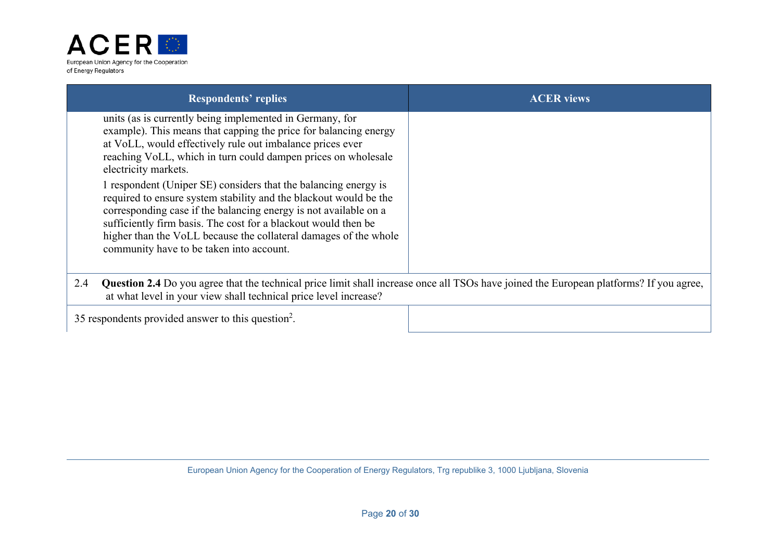

| <b>Respondents' replies</b>                                                                                                                                                                                                                                                                                                                                                                | <b>ACER</b> views |
|--------------------------------------------------------------------------------------------------------------------------------------------------------------------------------------------------------------------------------------------------------------------------------------------------------------------------------------------------------------------------------------------|-------------------|
| units (as is currently being implemented in Germany, for<br>example). This means that capping the price for balancing energy<br>at VoLL, would effectively rule out imbalance prices ever<br>reaching VoLL, which in turn could dampen prices on wholesale<br>electricity markets.                                                                                                         |                   |
| 1 respondent (Uniper SE) considers that the balancing energy is<br>required to ensure system stability and the blackout would be the<br>corresponding case if the balancing energy is not available on a<br>sufficiently firm basis. The cost for a blackout would then be<br>higher than the VoLL because the collateral damages of the whole<br>community have to be taken into account. |                   |
| <b>Question 2.4</b> Do you agree that the technical price limit shall increase once all TSOs have joined the European platforms? If you agree,<br>2.4<br>at what level in your view shall technical price level increase?                                                                                                                                                                  |                   |
| 35 respondents provided answer to this question <sup>2</sup> .                                                                                                                                                                                                                                                                                                                             |                   |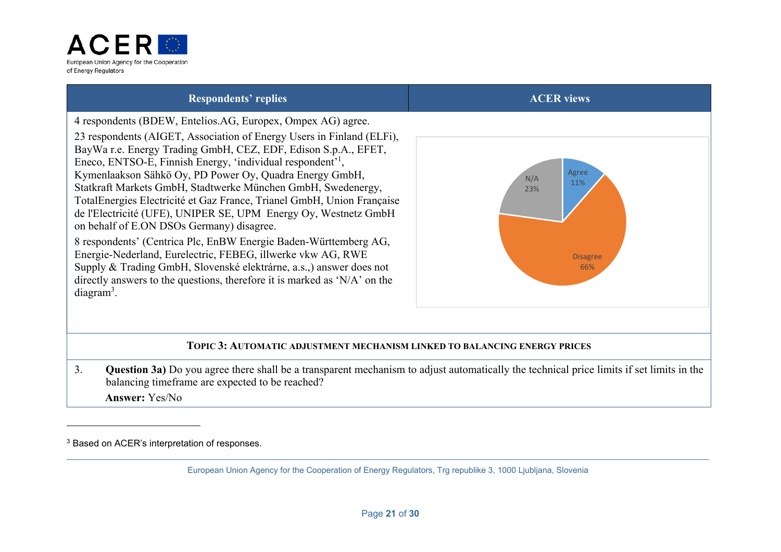

4 respondents (BDEW, Entelios.AG, Europex, Ompex AG) agree.

23 respondents (AIGET, Association of Energy Users in Finland (ELFi), BayWa r.e. Energy Trading GmbH, CEZ, EDF, Edison S.p.A., EFET, Eneco, ENTSO-E, Finnish Energy, 'individual respondent'1, Kymenlaakson Sähkö Oy, PD Power Oy, Quadra Energy GmbH, Statkraft Markets GmbH, Stadtwerke München GmbH, Swedenergy, TotalEnergies Electricité et Gaz France, Trianel GmbH, Union Française de l'Electricité (UFE), UNIPER SE, UPM Energy Oy, Westnetz GmbH on behalf of E.ON DSOs Germany) disagree.

8 respondents' (Centrica Plc, EnBW Energie Baden-Württemberg AG, Energie-Nederland, Eurelectric, FEBEG, illwerke vkw AG, RWE Supply & Trading GmbH, Slovenské elektrárne, a.s.,) answer does not directly answers to the questions, therefore it is marked as 'N/A' on the diagram3.



### **TOPIC 3: AUTOMATIC ADJUSTMENT MECHANISM LINKED TO BALANCING ENERGY PRICES**

3. **Question 3a)** Do you agree there shall be a transparent mechanism to adjust automatically the technical price limits if set limits in the balancing timeframe are expected to be reached? **Answer:** Yes/No

<sup>3</sup> Based on ACER's interpretation of responses.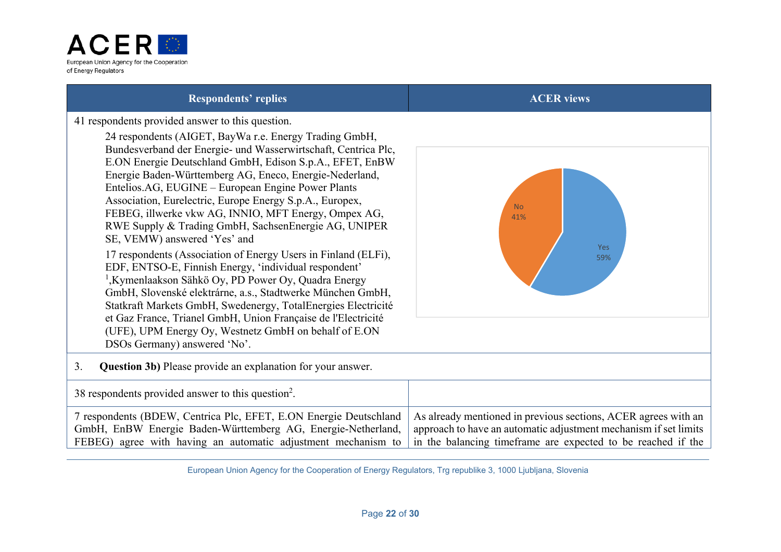

No 41%

> Yes 59%

41 respondents provided answer to this question.

24 respondents (AIGET, BayWa r.e. Energy Trading GmbH, Bundesverband der Energie- und Wasserwirtschaft, Centrica Plc, E.ON Energie Deutschland GmbH, Edison S.p.A., EFET, EnBW Energie Baden-Württemberg AG, Eneco, Energie-Nederland, Entelios.AG, EUGINE – European Engine Power Plants Association, Eurelectric, Europe Energy S.p.A., Europex, FEBEG, illwerke vkw AG, INNIO, MFT Energy, Ompex AG, RWE Supply & Trading GmbH, SachsenEnergie AG, UNIPER SE, VEMW) answered 'Yes' and 17 respondents (Association of Energy Users in Finland (ELFi), EDF, ENTSO-E, Finnish Energy, 'individual respondent' 1,Kymenlaakson Sähkö Oy, PD Power Oy, Quadra Energy GmbH, Slovenské elektrárne, a.s., Stadtwerke München GmbH, Statkraft Markets GmbH, Swedenergy, TotalEnergies Electricité et Gaz France, Trianel GmbH, Union Française de l'Electricité (UFE), UPM Energy Oy, Westnetz GmbH on behalf of E.ON DSOs Germany) answered 'No'.

3. **Question 3b)** Please provide an explanation for your answer.

| 38 respondents provided answer to this question <sup>2</sup> .    |                                                                  |
|-------------------------------------------------------------------|------------------------------------------------------------------|
| / respondents (BDEW, Centrica Plc, EFET, E.ON Energie Deutschland | As already mentioned in previous sections, ACER agrees with an   |
| GmbH, EnBW Energie Baden-Württemberg AG, Energie-Netherland,      | approach to have an automatic adjustment mechanism if set limits |
| FEBEG) agree with having an automatic adjustment mechanism to     | In the balancing timeframe are expected to be reached if the     |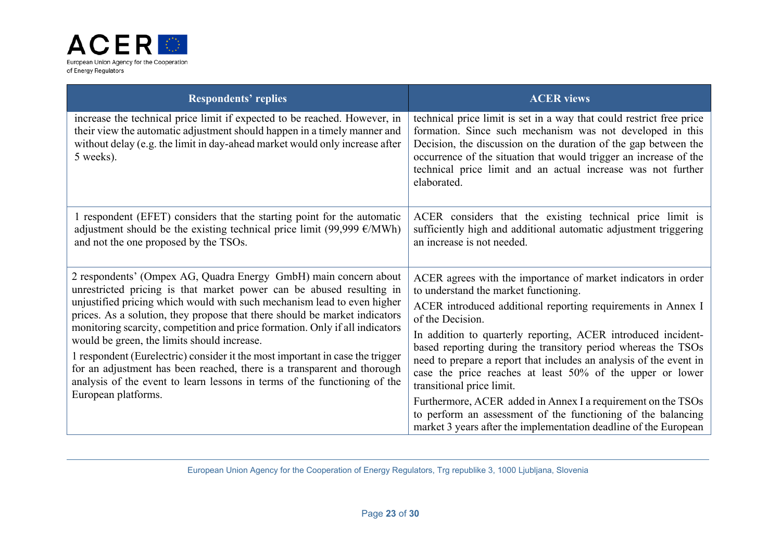

| <b>Respondents' replies</b>                                                                                                                                                                                                                                                                                                                                                                                                                                                                                                                                                                                                                                                                      | <b>ACER</b> views                                                                                                                                                                                                                                                                                                                                                                                                                                                                                                                                                                                                                                                                                |
|--------------------------------------------------------------------------------------------------------------------------------------------------------------------------------------------------------------------------------------------------------------------------------------------------------------------------------------------------------------------------------------------------------------------------------------------------------------------------------------------------------------------------------------------------------------------------------------------------------------------------------------------------------------------------------------------------|--------------------------------------------------------------------------------------------------------------------------------------------------------------------------------------------------------------------------------------------------------------------------------------------------------------------------------------------------------------------------------------------------------------------------------------------------------------------------------------------------------------------------------------------------------------------------------------------------------------------------------------------------------------------------------------------------|
| increase the technical price limit if expected to be reached. However, in<br>their view the automatic adjustment should happen in a timely manner and<br>without delay (e.g. the limit in day-ahead market would only increase after<br>5 weeks).                                                                                                                                                                                                                                                                                                                                                                                                                                                | technical price limit is set in a way that could restrict free price<br>formation. Since such mechanism was not developed in this<br>Decision, the discussion on the duration of the gap between the<br>occurrence of the situation that would trigger an increase of the<br>technical price limit and an actual increase was not further<br>elaborated.                                                                                                                                                                                                                                                                                                                                         |
| 1 respondent (EFET) considers that the starting point for the automatic<br>adjustment should be the existing technical price limit (99,999 $\epsilon$ /MWh)<br>and not the one proposed by the TSOs.                                                                                                                                                                                                                                                                                                                                                                                                                                                                                             | ACER considers that the existing technical price limit is<br>sufficiently high and additional automatic adjustment triggering<br>an increase is not needed.                                                                                                                                                                                                                                                                                                                                                                                                                                                                                                                                      |
| 2 respondents' (Ompex AG, Quadra Energy GmbH) main concern about<br>unrestricted pricing is that market power can be abused resulting in<br>unjustified pricing which would with such mechanism lead to even higher<br>prices. As a solution, they propose that there should be market indicators<br>monitoring scarcity, competition and price formation. Only if all indicators<br>would be green, the limits should increase.<br>1 respondent (Eurelectric) consider it the most important in case the trigger<br>for an adjustment has been reached, there is a transparent and thorough<br>analysis of the event to learn lessons in terms of the functioning of the<br>European platforms. | ACER agrees with the importance of market indicators in order<br>to understand the market functioning.<br>ACER introduced additional reporting requirements in Annex I<br>of the Decision.<br>In addition to quarterly reporting, ACER introduced incident-<br>based reporting during the transitory period whereas the TSOs<br>need to prepare a report that includes an analysis of the event in<br>case the price reaches at least 50% of the upper or lower<br>transitional price limit.<br>Furthermore, ACER added in Annex I a requirement on the TSOs<br>to perform an assessment of the functioning of the balancing<br>market 3 years after the implementation deadline of the European |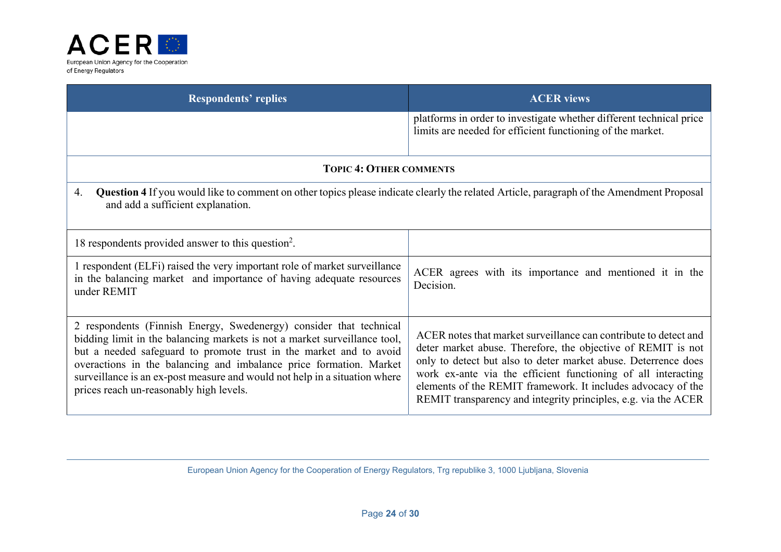

| <b>Respondents' replies</b>                                                                                                                                                                                                                                                                                                                                                                                          | <b>ACER</b> views                                                                                                                                                                                                                                                                                                                                                                                     |
|----------------------------------------------------------------------------------------------------------------------------------------------------------------------------------------------------------------------------------------------------------------------------------------------------------------------------------------------------------------------------------------------------------------------|-------------------------------------------------------------------------------------------------------------------------------------------------------------------------------------------------------------------------------------------------------------------------------------------------------------------------------------------------------------------------------------------------------|
|                                                                                                                                                                                                                                                                                                                                                                                                                      | platforms in order to investigate whether different technical price<br>limits are needed for efficient functioning of the market.                                                                                                                                                                                                                                                                     |
| <b>TOPIC 4: OTHER COMMENTS</b>                                                                                                                                                                                                                                                                                                                                                                                       |                                                                                                                                                                                                                                                                                                                                                                                                       |
| Question 4 If you would like to comment on other topics please indicate clearly the related Article, paragraph of the Amendment Proposal<br>4.<br>and add a sufficient explanation.                                                                                                                                                                                                                                  |                                                                                                                                                                                                                                                                                                                                                                                                       |
| 18 respondents provided answer to this question <sup>2</sup> .                                                                                                                                                                                                                                                                                                                                                       |                                                                                                                                                                                                                                                                                                                                                                                                       |
| 1 respondent (ELFi) raised the very important role of market surveillance<br>in the balancing market and importance of having adequate resources<br>under REMIT                                                                                                                                                                                                                                                      | ACER agrees with its importance and mentioned it in the<br>Decision.                                                                                                                                                                                                                                                                                                                                  |
| 2 respondents (Finnish Energy, Swedenergy) consider that technical<br>bidding limit in the balancing markets is not a market surveillance tool,<br>but a needed safeguard to promote trust in the market and to avoid<br>overactions in the balancing and imbalance price formation. Market<br>surveillance is an ex-post measure and would not help in a situation where<br>prices reach un-reasonably high levels. | ACER notes that market surveillance can contribute to detect and<br>deter market abuse. Therefore, the objective of REMIT is not<br>only to detect but also to deter market abuse. Deterrence does<br>work ex-ante via the efficient functioning of all interacting<br>elements of the REMIT framework. It includes advocacy of the<br>REMIT transparency and integrity principles, e.g. via the ACER |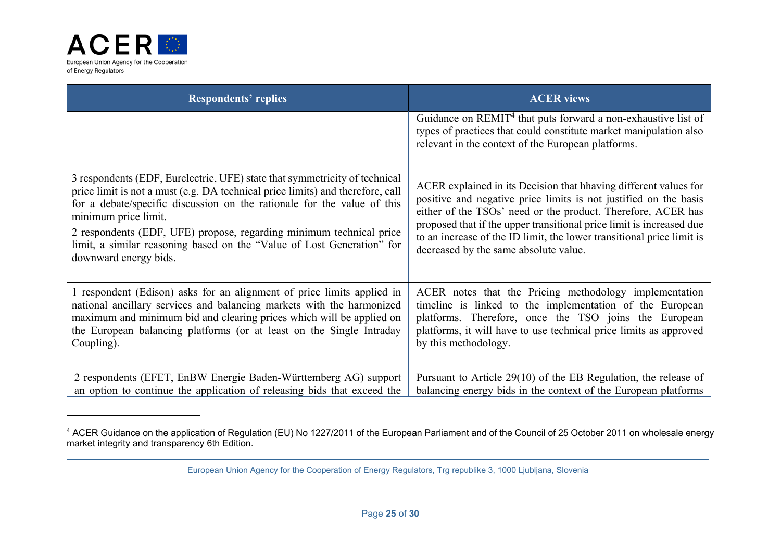

| <b>Respondents' replies</b>                                                                                                                                                                                                                                                                                                                                                                                                               | <b>ACER</b> views                                                                                                                                                                                                                                                                                                                                                                              |
|-------------------------------------------------------------------------------------------------------------------------------------------------------------------------------------------------------------------------------------------------------------------------------------------------------------------------------------------------------------------------------------------------------------------------------------------|------------------------------------------------------------------------------------------------------------------------------------------------------------------------------------------------------------------------------------------------------------------------------------------------------------------------------------------------------------------------------------------------|
|                                                                                                                                                                                                                                                                                                                                                                                                                                           | Guidance on REMIT <sup>4</sup> that puts forward a non-exhaustive list of<br>types of practices that could constitute market manipulation also<br>relevant in the context of the European platforms.                                                                                                                                                                                           |
| 3 respondents (EDF, Eurelectric, UFE) state that symmetricity of technical<br>price limit is not a must (e.g. DA technical price limits) and therefore, call<br>for a debate/specific discussion on the rationale for the value of this<br>minimum price limit.<br>2 respondents (EDF, UFE) propose, regarding minimum technical price<br>limit, a similar reasoning based on the "Value of Lost Generation" for<br>downward energy bids. | ACER explained in its Decision that hhaving different values for<br>positive and negative price limits is not justified on the basis<br>either of the TSOs' need or the product. Therefore, ACER has<br>proposed that if the upper transitional price limit is increased due<br>to an increase of the ID limit, the lower transitional price limit is<br>decreased by the same absolute value. |
| 1 respondent (Edison) asks for an alignment of price limits applied in<br>national ancillary services and balancing markets with the harmonized<br>maximum and minimum bid and clearing prices which will be applied on<br>the European balancing platforms (or at least on the Single Intraday<br>Coupling).                                                                                                                             | ACER notes that the Pricing methodology implementation<br>timeline is linked to the implementation of the European<br>platforms. Therefore, once the TSO joins the European<br>platforms, it will have to use technical price limits as approved<br>by this methodology.                                                                                                                       |
| 2 respondents (EFET, EnBW Energie Baden-Württemberg AG) support<br>an option to continue the application of releasing bids that exceed the                                                                                                                                                                                                                                                                                                | Pursuant to Article 29(10) of the EB Regulation, the release of<br>balancing energy bids in the context of the European platforms                                                                                                                                                                                                                                                              |

<sup>&</sup>lt;sup>4</sup> ACER Guidance on the application of Regulation (EU) No 1227/2011 of the European Parliament and of the Council of 25 October 2011 on wholesale energy market integrity and transparency 6th Edition.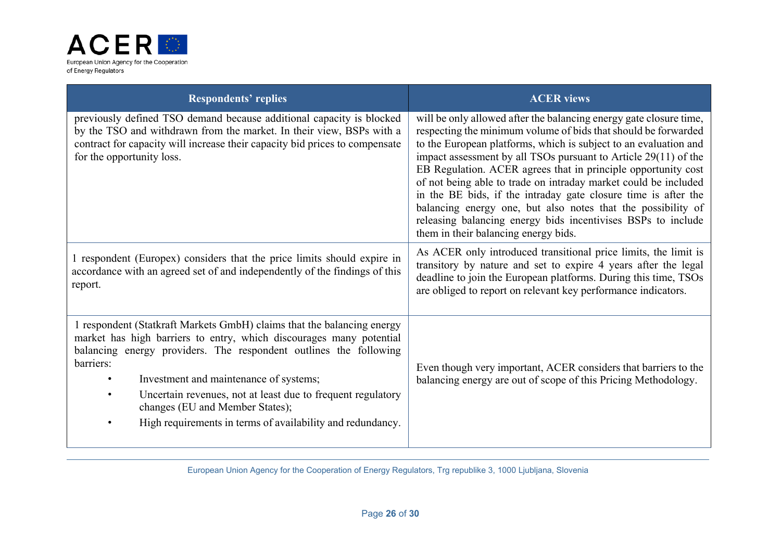

| <b>Respondents' replies</b>                                                                                                                                                                                                                                                                                                                                                                                                                            | <b>ACER</b> views                                                                                                                                                                                                                                                                                                                                                                                                                                                                                                                                                                                                                                         |
|--------------------------------------------------------------------------------------------------------------------------------------------------------------------------------------------------------------------------------------------------------------------------------------------------------------------------------------------------------------------------------------------------------------------------------------------------------|-----------------------------------------------------------------------------------------------------------------------------------------------------------------------------------------------------------------------------------------------------------------------------------------------------------------------------------------------------------------------------------------------------------------------------------------------------------------------------------------------------------------------------------------------------------------------------------------------------------------------------------------------------------|
| previously defined TSO demand because additional capacity is blocked<br>by the TSO and withdrawn from the market. In their view, BSPs with a<br>contract for capacity will increase their capacity bid prices to compensate<br>for the opportunity loss.                                                                                                                                                                                               | will be only allowed after the balancing energy gate closure time,<br>respecting the minimum volume of bids that should be forwarded<br>to the European platforms, which is subject to an evaluation and<br>impact assessment by all TSOs pursuant to Article 29(11) of the<br>EB Regulation. ACER agrees that in principle opportunity cost<br>of not being able to trade on intraday market could be included<br>in the BE bids, if the intraday gate closure time is after the<br>balancing energy one, but also notes that the possibility of<br>releasing balancing energy bids incentivises BSPs to include<br>them in their balancing energy bids. |
| 1 respondent (Europex) considers that the price limits should expire in<br>accordance with an agreed set of and independently of the findings of this<br>report.                                                                                                                                                                                                                                                                                       | As ACER only introduced transitional price limits, the limit is<br>transitory by nature and set to expire 4 years after the legal<br>deadline to join the European platforms. During this time, TSOs<br>are obliged to report on relevant key performance indicators.                                                                                                                                                                                                                                                                                                                                                                                     |
| 1 respondent (Statkraft Markets GmbH) claims that the balancing energy<br>market has high barriers to entry, which discourages many potential<br>balancing energy providers. The respondent outlines the following<br>barriers:<br>Investment and maintenance of systems;<br>$\bullet$<br>Uncertain revenues, not at least due to frequent regulatory<br>changes (EU and Member States);<br>High requirements in terms of availability and redundancy. | Even though very important, ACER considers that barriers to the<br>balancing energy are out of scope of this Pricing Methodology.                                                                                                                                                                                                                                                                                                                                                                                                                                                                                                                         |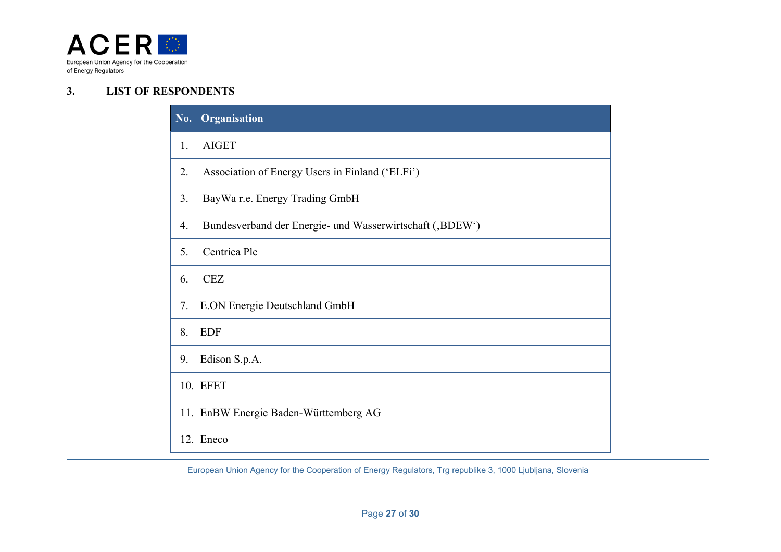

#### **3.LIST OF RESPONDENTS**

| No. | Organisation                                             |
|-----|----------------------------------------------------------|
| 1.  | <b>AIGET</b>                                             |
| 2.  | Association of Energy Users in Finland ('ELFi')          |
| 3.  | BayWa r.e. Energy Trading GmbH                           |
| 4.  | Bundesverband der Energie- und Wasserwirtschaft (,BDEW') |
| 5.  | Centrica Plc                                             |
| 6.  | <b>CEZ</b>                                               |
| 7.  | E.ON Energie Deutschland GmbH                            |
| 8.  | <b>EDF</b>                                               |
| 9.  | Edison S.p.A.                                            |
| 10. | <b>EFET</b>                                              |
| 11. | EnBW Energie Baden-Württemberg AG                        |
| 12. | Eneco                                                    |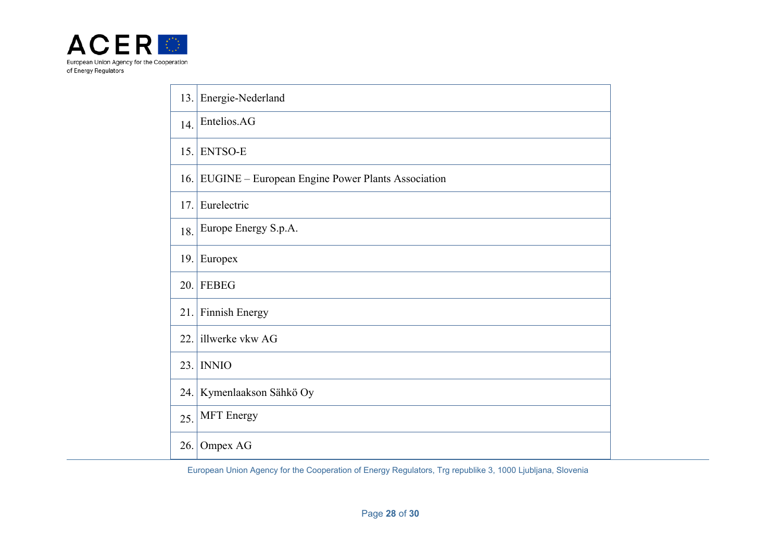

|      | 13. Energie-Nederland                                 |
|------|-------------------------------------------------------|
| 14.  | Entelios.AG                                           |
| 15.  | <b>ENTSO-E</b>                                        |
|      | 16. EUGINE – European Engine Power Plants Association |
| 17.1 | Eurelectric                                           |
| 18.  | Europe Energy S.p.A.                                  |
| 19.  | Europex                                               |
| 20.  | <b>FEBEG</b>                                          |
| 21.  | Finnish Energy                                        |
| 22.  | illwerke vkw AG                                       |
| 23.1 | <b>INNIO</b>                                          |
| 24.  | Kymenlaakson Sähkö Oy                                 |
| 25.  | <b>MFT</b> Energy                                     |
| 26.  | Ompex AG                                              |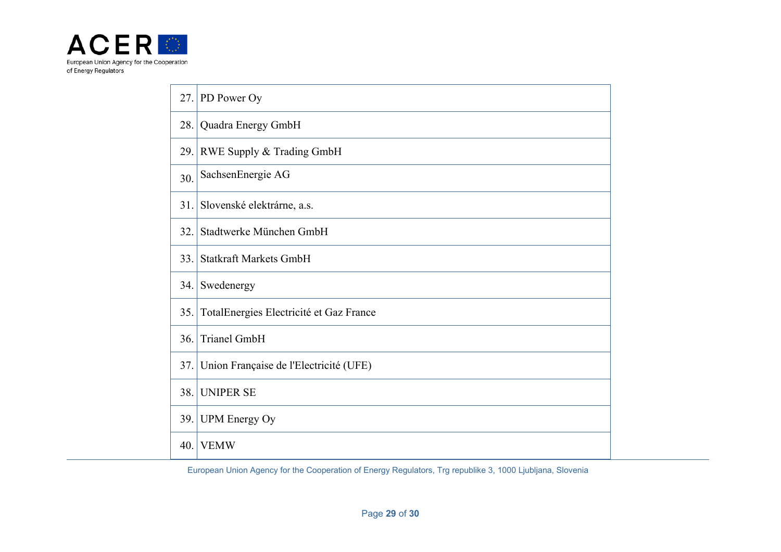

| 27.  | PD Power Oy                             |
|------|-----------------------------------------|
| 28.  | Quadra Energy GmbH                      |
| 29.1 | RWE Supply & Trading GmbH               |
| 30.  | SachsenEnergie AG                       |
| 31.  | Slovenské elektrárne, a.s.              |
| 32.  | Stadtwerke München GmbH                 |
| 33.  | <b>Statkraft Markets GmbH</b>           |
| 34.  | Swedenergy                              |
| 35.  | TotalEnergies Electricité et Gaz France |
| 36.  | <b>Trianel GmbH</b>                     |
| 37.  | Union Française de l'Electricité (UFE)  |
| 38.  | <b>UNIPER SE</b>                        |
| 39.  | <b>UPM</b> Energy Oy                    |
| 40.  | <b>VEMW</b>                             |